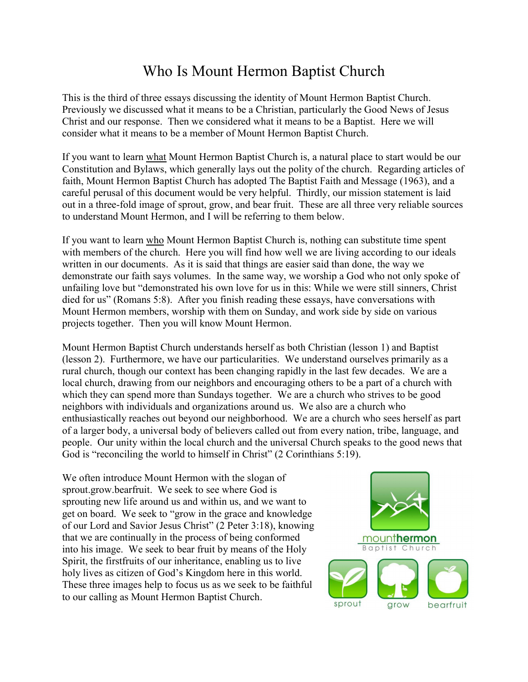## Who Is Mount Hermon Baptist Church

This is the third of three essays discussing the identity of Mount Hermon Baptist Church. Previously we discussed what it means to be a Christian, particularly the Good News of Jesus Christ and our response. Then we considered what it means to be a Baptist. Here we will consider what it means to be a member of Mount Hermon Baptist Church.

If you want to learn what Mount Hermon Baptist Church is, a natural place to start would be our Constitution and Bylaws, which generally lays out the polity of the church. Regarding articles of faith, Mount Hermon Baptist Church has adopted The Baptist Faith and Message (1963), and a careful perusal of this document would be very helpful. Thirdly, our mission statement is laid out in a three-fold image of sprout, grow, and bear fruit. These are all three very reliable sources to understand Mount Hermon, and I will be referring to them below.

If you want to learn who Mount Hermon Baptist Church is, nothing can substitute time spent with members of the church. Here you will find how well we are living according to our ideals written in our documents. As it is said that things are easier said than done, the way we demonstrate our faith says volumes. In the same way, we worship a God who not only spoke of unfailing love but "demonstrated his own love for us in this: While we were still sinners, Christ died for us" (Romans 5:8). After you finish reading these essays, have conversations with Mount Hermon members, worship with them on Sunday, and work side by side on various projects together. Then you will know Mount Hermon.

Mount Hermon Baptist Church understands herself as both Christian (lesson 1) and Baptist (lesson 2). Furthermore, we have our particularities. We understand ourselves primarily as a rural church, though our context has been changing rapidly in the last few decades. We are a local church, drawing from our neighbors and encouraging others to be a part of a church with which they can spend more than Sundays together. We are a church who strives to be good neighbors with individuals and organizations around us. We also are a church who enthusiastically reaches out beyond our neighborhood. We are a church who sees herself as part of a larger body, a universal body of believers called out from every nation, tribe, language, and people. Our unity within the local church and the universal Church speaks to the good news that God is "reconciling the world to himself in Christ" (2 Corinthians 5:19).

We often introduce Mount Hermon with the slogan of sprout.grow.bearfruit. We seek to see where God is sprouting new life around us and within us, and we want to get on board. We seek to "grow in the grace and knowledge of our Lord and Savior Jesus Christ" (2 Peter 3:18), knowing that we are continually in the process of being conformed into his image. We seek to bear fruit by means of the Holy Spirit, the firstfruits of our inheritance, enabling us to live holy lives as citizen of God's Kingdom here in this world. These three images help to focus us as we seek to be faithful to our calling as Mount Hermon Baptist Church.

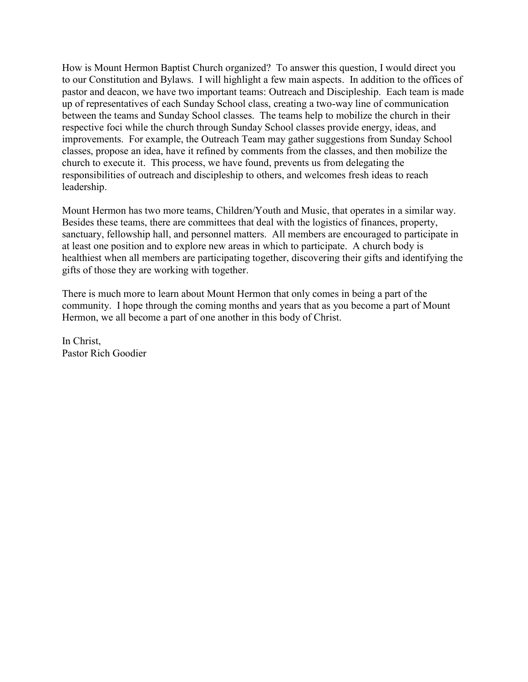How is Mount Hermon Baptist Church organized? To answer this question, I would direct you to our Constitution and Bylaws. I will highlight a few main aspects. In addition to the offices of pastor and deacon, we have two important teams: Outreach and Discipleship. Each team is made up of representatives of each Sunday School class, creating a two-way line of communication between the teams and Sunday School classes. The teams help to mobilize the church in their respective foci while the church through Sunday School classes provide energy, ideas, and improvements. For example, the Outreach Team may gather suggestions from Sunday School classes, propose an idea, have it refined by comments from the classes, and then mobilize the church to execute it. This process, we have found, prevents us from delegating the responsibilities of outreach and discipleship to others, and welcomes fresh ideas to reach leadership.

Mount Hermon has two more teams, Children/Youth and Music, that operates in a similar way. Besides these teams, there are committees that deal with the logistics of finances, property, sanctuary, fellowship hall, and personnel matters. All members are encouraged to participate in at least one position and to explore new areas in which to participate. A church body is healthiest when all members are participating together, discovering their gifts and identifying the gifts of those they are working with together.

There is much more to learn about Mount Hermon that only comes in being a part of the community. I hope through the coming months and years that as you become a part of Mount Hermon, we all become a part of one another in this body of Christ.

In Christ, Pastor Rich Goodier